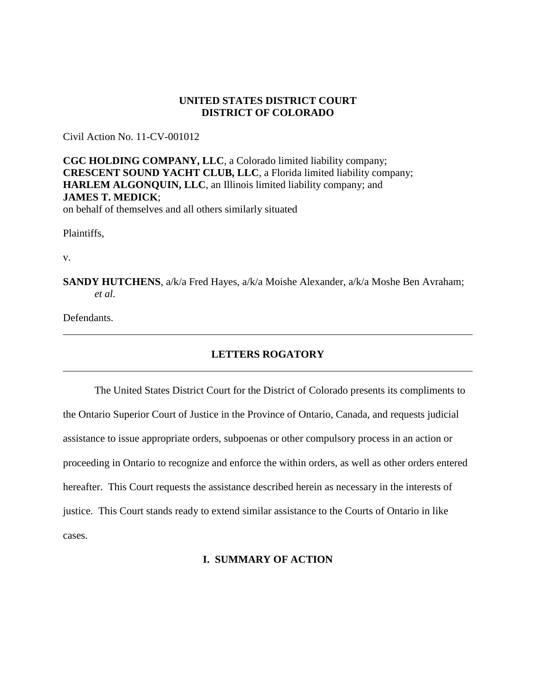## **UNITED STATES DISTRICT COURT DISTRICT OF COLORADO**

Civil Action No. 11-CV-001012

**CGC HOLDING COMPANY, LLC**, a Colorado limited liability company; **CRESCENT SOUND YACHT CLUB, LLC**, a Florida limited liability company; **HARLEM ALGONQUIN, LLC**, an Illinois limited liability company; and **JAMES T. MEDICK**; on behalf of themselves and all others similarly situated

Plaintiffs,

v.

**SANDY HUTCHENS**, a/k/a Fred Hayes, a/k/a Moishe Alexander, a/k/a Moshe Ben Avraham; *et al.*

Defendants.

## **LETTERS ROGATORY**

The United States District Court for the District of Colorado presents its compliments to the Ontario Superior Court of Justice in the Province of Ontario, Canada, and requests judicial assistance to issue appropriate orders, subpoenas or other compulsory process in an action or proceeding in Ontario to recognize and enforce the within orders, as well as other orders entered hereafter. This Court requests the assistance described herein as necessary in the interests of justice. This Court stands ready to extend similar assistance to the Courts of Ontario in like cases.

## **I. SUMMARY OF ACTION**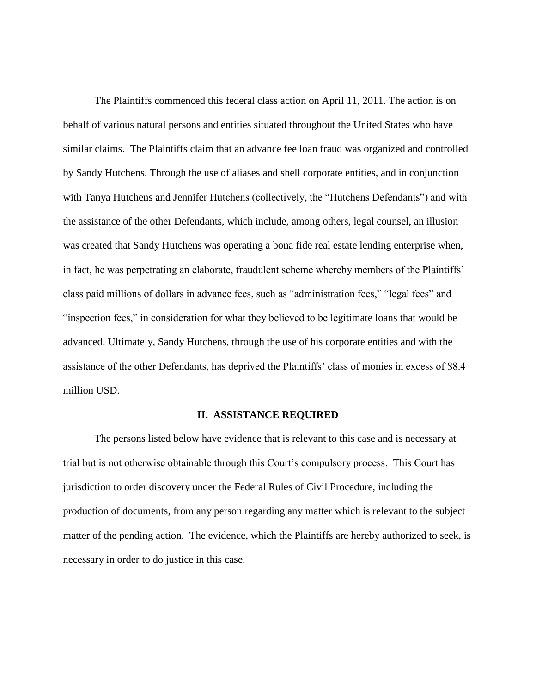The Plaintiffs commenced this federal class action on April 11, 2011. The action is on behalf of various natural persons and entities situated throughout the United States who have similar claims. The Plaintiffs claim that an advance fee loan fraud was organized and controlled by Sandy Hutchens. Through the use of aliases and shell corporate entities, and in conjunction with Tanya Hutchens and Jennifer Hutchens (collectively, the "Hutchens Defendants") and with the assistance of the other Defendants, which include, among others, legal counsel, an illusion was created that Sandy Hutchens was operating a bona fide real estate lending enterprise when, in fact, he was perpetrating an elaborate, fraudulent scheme whereby members of the Plaintiffs' class paid millions of dollars in advance fees, such as "administration fees," "legal fees" and "inspection fees," in consideration for what they believed to be legitimate loans that would be advanced. Ultimately, Sandy Hutchens, through the use of his corporate entities and with the assistance of the other Defendants, has deprived the Plaintiffs' class of monies in excess of \$8.4 million USD.

## **II. ASSISTANCE REQUIRED**

The persons listed below have evidence that is relevant to this case and is necessary at trial but is not otherwise obtainable through this Court's compulsory process. This Court has jurisdiction to order discovery under the Federal Rules of Civil Procedure, including the production of documents, from any person regarding any matter which is relevant to the subject matter of the pending action. The evidence, which the Plaintiffs are hereby authorized to seek, is necessary in order to do justice in this case.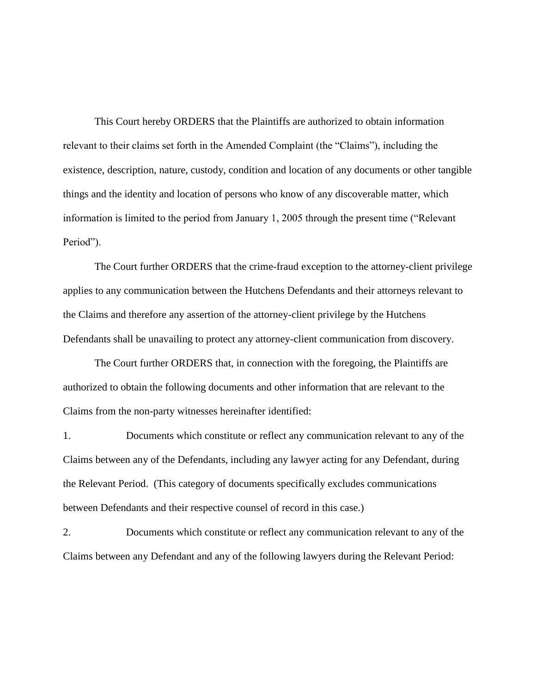This Court hereby ORDERS that the Plaintiffs are authorized to obtain information relevant to their claims set forth in the Amended Complaint (the "Claims"), including the existence, description, nature, custody, condition and location of any documents or other tangible things and the identity and location of persons who know of any discoverable matter, which information is limited to the period from January 1, 2005 through the present time ("Relevant Period").

The Court further ORDERS that the crime-fraud exception to the attorney-client privilege applies to any communication between the Hutchens Defendants and their attorneys relevant to the Claims and therefore any assertion of the attorney-client privilege by the Hutchens Defendants shall be unavailing to protect any attorney-client communication from discovery.

The Court further ORDERS that, in connection with the foregoing, the Plaintiffs are authorized to obtain the following documents and other information that are relevant to the Claims from the non-party witnesses hereinafter identified:

1. Documents which constitute or reflect any communication relevant to any of the Claims between any of the Defendants, including any lawyer acting for any Defendant, during the Relevant Period. (This category of documents specifically excludes communications between Defendants and their respective counsel of record in this case.)

2. Documents which constitute or reflect any communication relevant to any of the Claims between any Defendant and any of the following lawyers during the Relevant Period: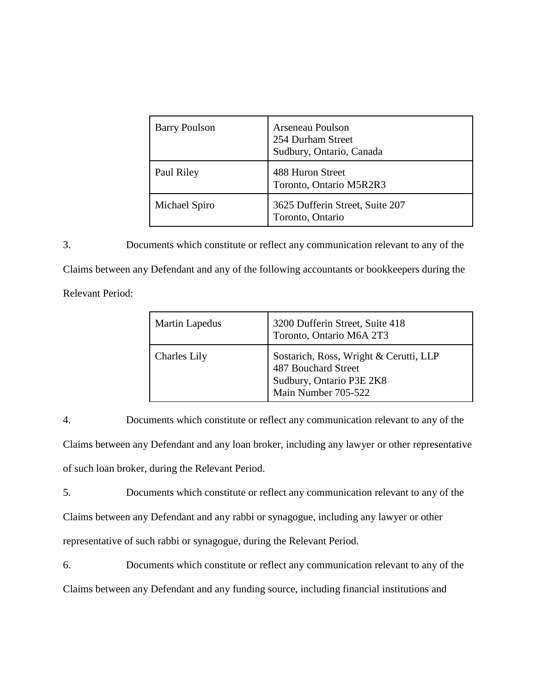| <b>Barry Poulson</b> | <b>Arseneau Poulson</b><br>254 Durham Street<br>Sudbury, Ontario, Canada |
|----------------------|--------------------------------------------------------------------------|
| Paul Riley           | 488 Huron Street<br>Toronto, Ontario M5R2R3                              |
| Michael Spiro        | 3625 Dufferin Street, Suite 207<br>Toronto, Ontario                      |

3. Documents which constitute or reflect any communication relevant to any of the Claims between any Defendant and any of the following accountants or bookkeepers during the Relevant Period:

| <b>Martin Lapedus</b> | 3200 Dufferin Street, Suite 418<br>Toronto, Ontario M6A 2T3                                                      |
|-----------------------|------------------------------------------------------------------------------------------------------------------|
| <b>Charles Lily</b>   | Sostarich, Ross, Wright & Cerutti, LLP<br>487 Bouchard Street<br>Sudbury, Ontario P3E 2K8<br>Main Number 705-522 |

4. Documents which constitute or reflect any communication relevant to any of the Claims between any Defendant and any loan broker, including any lawyer or other representative of such loan broker, during the Relevant Period.

5. Documents which constitute or reflect any communication relevant to any of the Claims between any Defendant and any rabbi or synagogue, including any lawyer or other representative of such rabbi or synagogue, during the Relevant Period.

6. Documents which constitute or reflect any communication relevant to any of the Claims between any Defendant and any funding source, including financial institutions and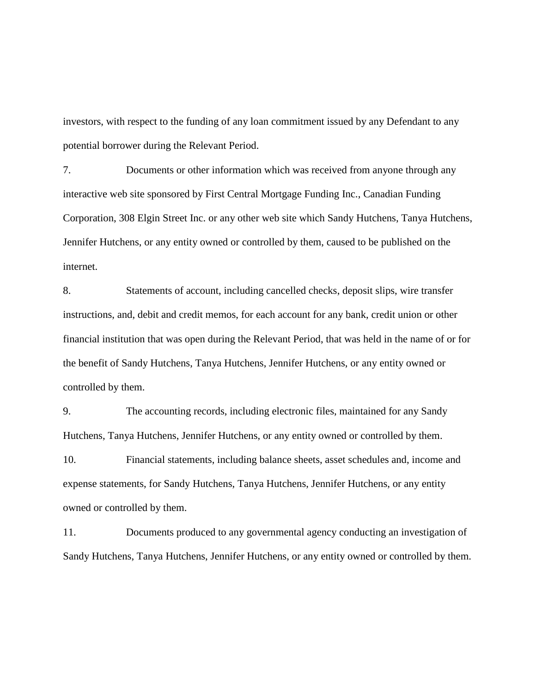investors, with respect to the funding of any loan commitment issued by any Defendant to any potential borrower during the Relevant Period.

7. Documents or other information which was received from anyone through any interactive web site sponsored by First Central Mortgage Funding Inc., Canadian Funding Corporation, 308 Elgin Street Inc. or any other web site which Sandy Hutchens, Tanya Hutchens, Jennifer Hutchens, or any entity owned or controlled by them, caused to be published on the internet.

8. Statements of account, including cancelled checks, deposit slips, wire transfer instructions, and, debit and credit memos, for each account for any bank, credit union or other financial institution that was open during the Relevant Period, that was held in the name of or for the benefit of Sandy Hutchens, Tanya Hutchens, Jennifer Hutchens, or any entity owned or controlled by them.

9. The accounting records, including electronic files, maintained for any Sandy Hutchens, Tanya Hutchens, Jennifer Hutchens, or any entity owned or controlled by them.

10. Financial statements, including balance sheets, asset schedules and, income and expense statements, for Sandy Hutchens, Tanya Hutchens, Jennifer Hutchens, or any entity owned or controlled by them.

11. Documents produced to any governmental agency conducting an investigation of Sandy Hutchens, Tanya Hutchens, Jennifer Hutchens, or any entity owned or controlled by them.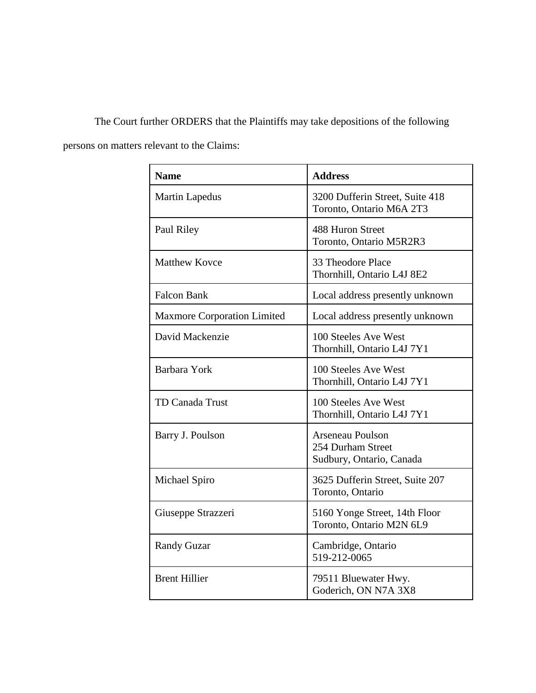The Court further ORDERS that the Plaintiffs may take depositions of the following

persons on matters relevant to the Claims:

| <b>Name</b>                        | <b>Address</b>                                                           |
|------------------------------------|--------------------------------------------------------------------------|
| <b>Martin Lapedus</b>              | 3200 Dufferin Street, Suite 418<br>Toronto, Ontario M6A 2T3              |
| Paul Riley                         | 488 Huron Street<br>Toronto, Ontario M5R2R3                              |
| <b>Matthew Kovce</b>               | 33 Theodore Place<br>Thornhill, Ontario L4J 8E2                          |
| <b>Falcon Bank</b>                 | Local address presently unknown                                          |
| <b>Maxmore Corporation Limited</b> | Local address presently unknown                                          |
| David Mackenzie                    | 100 Steeles Ave West<br>Thornhill, Ontario L4J 7Y1                       |
| Barbara York                       | 100 Steeles Ave West<br>Thornhill, Ontario L4J 7Y1                       |
| <b>TD Canada Trust</b>             | 100 Steeles Ave West<br>Thornhill, Ontario L4J 7Y1                       |
| Barry J. Poulson                   | <b>Arseneau Poulson</b><br>254 Durham Street<br>Sudbury, Ontario, Canada |
| Michael Spiro                      | 3625 Dufferin Street, Suite 207<br>Toronto, Ontario                      |
| Giuseppe Strazzeri                 | 5160 Yonge Street, 14th Floor<br>Toronto, Ontario M2N 6L9                |
| <b>Randy Guzar</b>                 | Cambridge, Ontario<br>519-212-0065                                       |
| <b>Brent Hillier</b>               | 79511 Bluewater Hwy.<br>Goderich, ON N7A 3X8                             |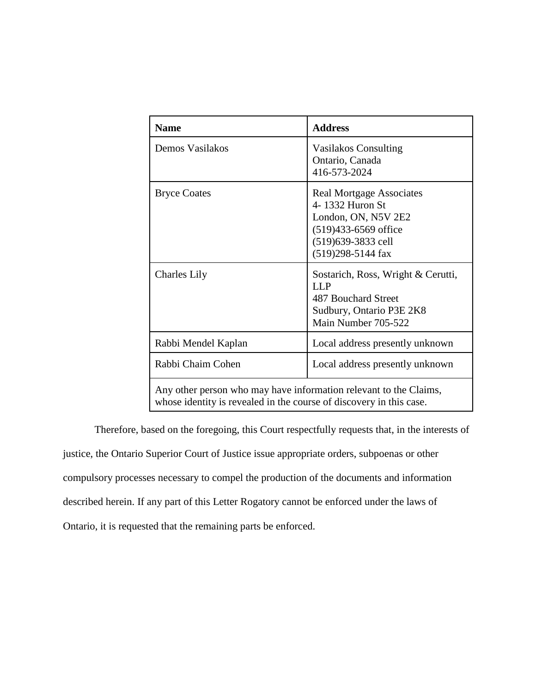| <b>Name</b>                                                                                                                              | <b>Address</b>                                                                                                                                   |
|------------------------------------------------------------------------------------------------------------------------------------------|--------------------------------------------------------------------------------------------------------------------------------------------------|
| Demos Vasilakos                                                                                                                          | <b>Vasilakos Consulting</b><br>Ontario, Canada<br>416-573-2024                                                                                   |
| <b>Bryce Coates</b>                                                                                                                      | <b>Real Mortgage Associates</b><br>4-1332 Huron St<br>London, ON, N5V 2E2<br>$(519)433 - 6569$ office<br>(519)639-3833 cell<br>(519)298-5144 fax |
| <b>Charles Lily</b>                                                                                                                      | Sostarich, Ross, Wright & Cerutti,<br><b>LLP</b><br>487 Bouchard Street<br>Sudbury, Ontario P3E 2K8<br>Main Number 705-522                       |
| Rabbi Mendel Kaplan                                                                                                                      | Local address presently unknown                                                                                                                  |
| Rabbi Chaim Cohen                                                                                                                        | Local address presently unknown                                                                                                                  |
| Any other person who may have information relevant to the Claims,<br>whose identity is revealed in the course of discovery in this case. |                                                                                                                                                  |

Therefore, based on the foregoing, this Court respectfully requests that, in the interests of justice, the Ontario Superior Court of Justice issue appropriate orders, subpoenas or other compulsory processes necessary to compel the production of the documents and information described herein. If any part of this Letter Rogatory cannot be enforced under the laws of Ontario, it is requested that the remaining parts be enforced.